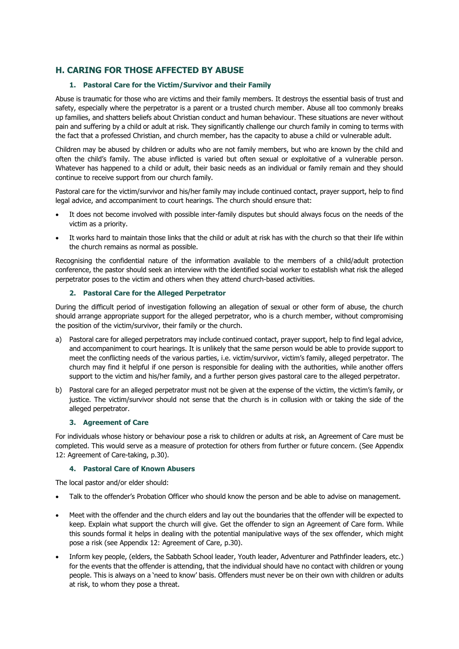# **H. CARING FOR THOSE AFFECTED BY ABUSE**

## **1. Pastoral Care for the Victim/Survivor and their Family**

Abuse is traumatic for those who are victims and their family members. It destroys the essential basis of trust and safety, especially where the perpetrator is a parent or a trusted church member. Abuse all too commonly breaks up families, and shatters beliefs about Christian conduct and human behaviour. These situations are never without pain and suffering by a child or adult at risk. They significantly challenge our church family in coming to terms with the fact that a professed Christian, and church member, has the capacity to abuse a child or vulnerable adult.

Children may be abused by children or adults who are not family members, but who are known by the child and often the child's family. The abuse inflicted is varied but often sexual or exploitative of a vulnerable person. Whatever has happened to a child or adult, their basic needs as an individual or family remain and they should continue to receive support from our church family.

Pastoral care for the victim/survivor and his/her family may include continued contact, prayer support, help to find legal advice, and accompaniment to court hearings. The church should ensure that:

- It does not become involved with possible inter-family disputes but should always focus on the needs of the victim as a priority.
- It works hard to maintain those links that the child or adult at risk has with the church so that their life within the church remains as normal as possible.

Recognising the confidential nature of the information available to the members of a child/adult protection conference, the pastor should seek an interview with the identified social worker to establish what risk the alleged perpetrator poses to the victim and others when they attend church-based activities.

### **2. Pastoral Care for the Alleged Perpetrator**

During the difficult period of investigation following an allegation of sexual or other form of abuse, the church should arrange appropriate support for the alleged perpetrator, who is a church member, without compromising the position of the victim/survivor, their family or the church.

- a) Pastoral care for alleged perpetrators may include continued contact, prayer support, help to find legal advice, and accompaniment to court hearings. It is unlikely that the same person would be able to provide support to meet the conflicting needs of the various parties, i.e. victim/survivor, victim's family, alleged perpetrator. The church may find it helpful if one person is responsible for dealing with the authorities, while another offers support to the victim and his/her family, and a further person gives pastoral care to the alleged perpetrator.
- b) Pastoral care for an alleged perpetrator must not be given at the expense of the victim, the victim's family, or justice. The victim/survivor should not sense that the church is in collusion with or taking the side of the alleged perpetrator.

### **3. Agreement of Care**

For individuals whose history or behaviour pose a risk to children or adults at risk, an Agreement of Care must be completed. This would serve as a measure of protection for others from further or future concern. (See Appendix 12: Agreement of Care-taking, p.30).

### **4. Pastoral Care of Known Abusers**

The local pastor and/or elder should:

- Talk to the offender's Probation Officer who should know the person and be able to advise on management.
- Meet with the offender and the church elders and lay out the boundaries that the offender will be expected to keep. Explain what support the church will give. Get the offender to sign an Agreement of Care form. While this sounds formal it helps in dealing with the potential manipulative ways of the sex offender, which might pose a risk (see Appendix 12: Agreement of Care, p.30).
- Inform key people, (elders, the Sabbath School leader, Youth leader, Adventurer and Pathfinder leaders, etc.) for the events that the offender is attending, that the individual should have no contact with children or young people. This is always on a 'need to know' basis. Offenders must never be on their own with children or adults at risk, to whom they pose a threat.